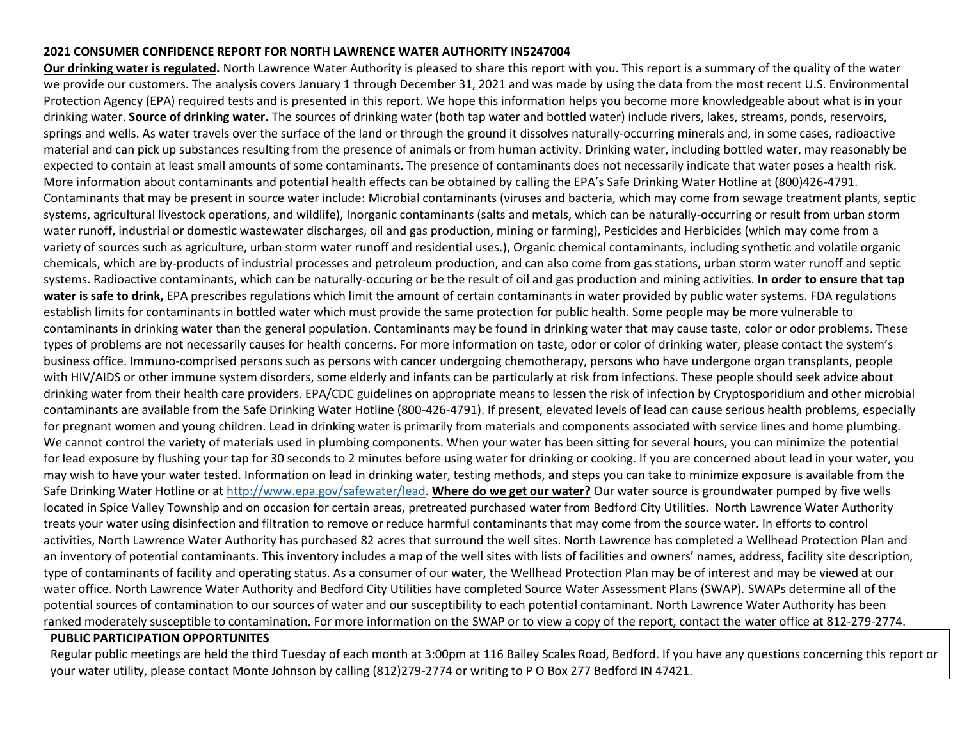## **2021 CONSUMER CONFIDENCE REPORT FOR NORTH LAWRENCE WATER AUTHORITY IN5247004**

**Our drinking water is regulated.** North Lawrence Water Authority is pleased to share this report with you. This report is a summary of the quality of the water we provide our customers. The analysis covers January 1 through December 31, 2021 and was made by using the data from the most recent U.S. Environmental Protection Agency (EPA) required tests and is presented in this report. We hope this information helps you become more knowledgeable about what is in your drinking water. **Source of drinking water.** The sources of drinking water (both tap water and bottled water) include rivers, lakes, streams, ponds, reservoirs, springs and wells. As water travels over the surface of the land or through the ground it dissolves naturally-occurring minerals and, in some cases, radioactive material and can pick up substances resulting from the presence of animals or from human activity. Drinking water, including bottled water, may reasonably be expected to contain at least small amounts of some contaminants. The presence of contaminants does not necessarily indicate that water poses a health risk. More information about contaminants and potential health effects can be obtained by calling the EPA's Safe Drinking Water Hotline at (800)426-4791. Contaminants that may be present in source water include: Microbial contaminants (viruses and bacteria, which may come from sewage treatment plants, septic systems, agricultural livestock operations, and wildlife), Inorganic contaminants (salts and metals, which can be naturally-occurring or result from urban storm water runoff, industrial or domestic wastewater discharges, oil and gas production, mining or farming), Pesticides and Herbicides (which may come from a variety of sources such as agriculture, urban storm water runoff and residential uses.), Organic chemical contaminants, including synthetic and volatile organic chemicals, which are by-products of industrial processes and petroleum production, and can also come from gas stations, urban storm water runoff and septic systems. Radioactive contaminants, which can be naturally-occuring or be the result of oil and gas production and mining activities. **In order to ensure that tap water is safe to drink,** EPA prescribes regulations which limit the amount of certain contaminants in water provided by public water systems. FDA regulations establish limits for contaminants in bottled water which must provide the same protection for public health. Some people may be more vulnerable to contaminants in drinking water than the general population. Contaminants may be found in drinking water that may cause taste, color or odor problems. These types of problems are not necessarily causes for health concerns. For more information on taste, odor or color of drinking water, please contact the system's business office. Immuno-comprised persons such as persons with cancer undergoing chemotherapy, persons who have undergone organ transplants, people with HIV/AIDS or other immune system disorders, some elderly and infants can be particularly at risk from infections. These people should seek advice about drinking water from their health care providers. EPA/CDC guidelines on appropriate means to lessen the risk of infection by Cryptosporidium and other microbial contaminants are available from the Safe Drinking Water Hotline (800-426-4791). If present, elevated levels of lead can cause serious health problems, especially for pregnant women and young children. Lead in drinking water is primarily from materials and components associated with service lines and home plumbing. We cannot control the variety of materials used in plumbing components. When your water has been sitting for several hours, you can minimize the potential for lead exposure by flushing your tap for 30 seconds to 2 minutes before using water for drinking or cooking. If you are concerned about lead in your water, you may wish to have your water tested. Information on lead in drinking water, testing methods, and steps you can take to minimize exposure is available from the Safe Drinking Water Hotline or a[t http://www.epa.gov/safewater/lead.](http://www.epa.gov/safewater/lead) **Where do we get our water?** Our water source is groundwater pumped by five wells located in Spice Valley Township and on occasion for certain areas, pretreated purchased water from Bedford City Utilities. North Lawrence Water Authority treats your water using disinfection and filtration to remove or reduce harmful contaminants that may come from the source water. In efforts to control activities, North Lawrence Water Authority has purchased 82 acres that surround the well sites. North Lawrence has completed a Wellhead Protection Plan and an inventory of potential contaminants. This inventory includes a map of the well sites with lists of facilities and owners' names, address, facility site description, type of contaminants of facility and operating status. As a consumer of our water, the Wellhead Protection Plan may be of interest and may be viewed at our water office. North Lawrence Water Authority and Bedford City Utilities have completed Source Water Assessment Plans (SWAP). SWAPs determine all of the potential sources of contamination to our sources of water and our susceptibility to each potential contaminant. North Lawrence Water Authority has been ranked moderately susceptible to contamination. For more information on the SWAP or to view a copy of the report, contact the water office at 812-279-2774.

## **PUBLIC PARTICIPATION OPPORTUNITES**

Regular public meetings are held the third Tuesday of each month at 3:00pm at 116 Bailey Scales Road, Bedford. If you have any questions concerning this report or your water utility, please contact Monte Johnson by calling (812)279-2774 or writing to P O Box 277 Bedford IN 47421.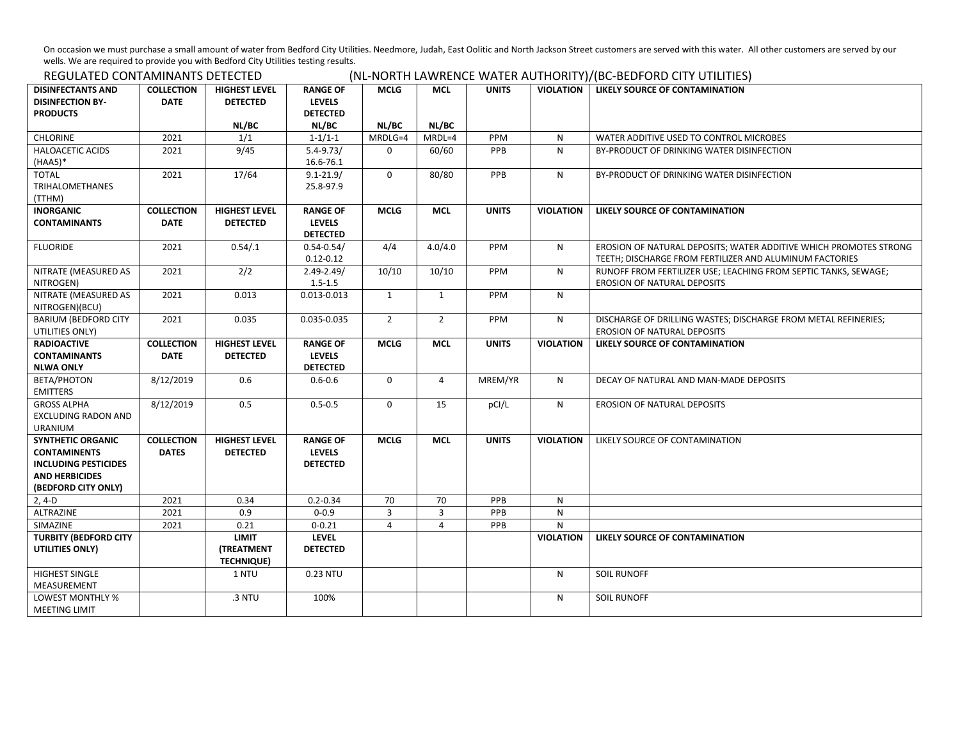On occasion we must purchase a small amount of water from Bedford City Utilities. Needmore, Judah, East Oolitic and North Jackson Street customers are served with this water. All other customers are served by our wells. We are required to provide you with Bedford City Utilities testing results.<br>DECLU ATED CONTANAINANTS DETECTED

| REGULATED CONTAMINANTS DETECTED                                                                                                |                                   |                                                        |                                                              |                      |                     | (NL-NORTH LAWRENCE WATER AUTHORITY)/(BC-BEDFORD CITY UTILITIES) |                  |                                                                                                                              |
|--------------------------------------------------------------------------------------------------------------------------------|-----------------------------------|--------------------------------------------------------|--------------------------------------------------------------|----------------------|---------------------|-----------------------------------------------------------------|------------------|------------------------------------------------------------------------------------------------------------------------------|
| <b>DISINFECTANTS AND</b><br><b>DISINFECTION BY-</b><br><b>PRODUCTS</b>                                                         | <b>COLLECTION</b><br><b>DATE</b>  | <b>HIGHEST LEVEL</b><br><b>DETECTED</b><br>NL/BC       | <b>RANGE OF</b><br><b>LEVELS</b><br><b>DETECTED</b><br>NL/BC | <b>MCLG</b><br>NL/BC | <b>MCL</b><br>NL/BC | <b>UNITS</b>                                                    | <b>VIOLATION</b> | LIKELY SOURCE OF CONTAMINATION                                                                                               |
| <b>CHLORINE</b>                                                                                                                | 2021                              | 1/1                                                    | $1 - 1/1 - 1$                                                | MRDLG=4              | MRDL=4              | PPM                                                             | N                | WATER ADDITIVE USED TO CONTROL MICROBES                                                                                      |
| <b>HALOACETIC ACIDS</b><br>$(HAA5)*$                                                                                           | 2021                              | 9/45                                                   | $5.4 - 9.73/$<br>16.6-76.1                                   | $\Omega$             | 60/60               | PPB                                                             | N                | BY-PRODUCT OF DRINKING WATER DISINFECTION                                                                                    |
| <b>TOTAL</b><br><b>TRIHALOMETHANES</b><br>(TTHM)                                                                               | 2021                              | 17/64                                                  | $9.1 - 21.9/$<br>25.8-97.9                                   | $\mathbf 0$          | 80/80               | PPB                                                             | ${\sf N}$        | BY-PRODUCT OF DRINKING WATER DISINFECTION                                                                                    |
| <b>INORGANIC</b><br><b>CONTAMINANTS</b>                                                                                        | <b>COLLECTION</b><br><b>DATE</b>  | <b>HIGHEST LEVEL</b><br><b>DETECTED</b>                | <b>RANGE OF</b><br><b>LEVELS</b><br><b>DETECTED</b>          | <b>MCLG</b>          | <b>MCL</b>          | <b>UNITS</b>                                                    | <b>VIOLATION</b> | LIKELY SOURCE OF CONTAMINATION                                                                                               |
| <b>FLUORIDE</b>                                                                                                                | 2021                              | 0.54/.1                                                | $0.54 - 0.54/$<br>$0.12 - 0.12$                              | 4/4                  | 4.0/4.0             | PPM                                                             | $\mathsf{N}$     | EROSION OF NATURAL DEPOSITS; WATER ADDITIVE WHICH PROMOTES STRONG<br>TEETH; DISCHARGE FROM FERTILIZER AND ALUMINUM FACTORIES |
| NITRATE (MEASURED AS<br>NITROGEN)                                                                                              | 2021                              | 2/2                                                    | $2.49 - 2.49/$<br>$1.5 - 1.5$                                | 10/10                | 10/10               | PPM                                                             | N                | RUNOFF FROM FERTILIZER USE; LEACHING FROM SEPTIC TANKS, SEWAGE;<br><b>EROSION OF NATURAL DEPOSITS</b>                        |
| NITRATE (MEASURED AS<br>NITROGEN)(BCU)                                                                                         | 2021                              | 0.013                                                  | $0.013 - 0.013$                                              | $\mathbf{1}$         | $\mathbf{1}$        | PPM                                                             | N                |                                                                                                                              |
| <b>BARIUM (BEDFORD CITY</b><br>UTILITIES ONLY)                                                                                 | 2021                              | 0.035                                                  | 0.035-0.035                                                  | $\overline{2}$       | $\overline{2}$      | PPM                                                             | N                | DISCHARGE OF DRILLING WASTES; DISCHARGE FROM METAL REFINERIES;<br><b>EROSION OF NATURAL DEPOSITS</b>                         |
| <b>RADIOACTIVE</b><br><b>CONTAMINANTS</b><br><b>NLWA ONLY</b>                                                                  | <b>COLLECTION</b><br><b>DATE</b>  | <b>HIGHEST LEVEL</b><br><b>DETECTED</b>                | <b>RANGE OF</b><br><b>LEVELS</b><br><b>DETECTED</b>          | <b>MCLG</b>          | <b>MCL</b>          | <b>UNITS</b>                                                    | <b>VIOLATION</b> | LIKELY SOURCE OF CONTAMINATION                                                                                               |
| <b>BETA/PHOTON</b><br><b>EMITTERS</b>                                                                                          | 8/12/2019                         | 0.6                                                    | $0.6 - 0.6$                                                  | 0                    | $\overline{4}$      | MREM/YR                                                         | N                | DECAY OF NATURAL AND MAN-MADE DEPOSITS                                                                                       |
| <b>GROSS ALPHA</b><br><b>EXCLUDING RADON AND</b><br><b>URANIUM</b>                                                             | 8/12/2019                         | 0.5                                                    | $0.5 - 0.5$                                                  | 0                    | 15                  | pCI/L                                                           | N                | <b>EROSION OF NATURAL DEPOSITS</b>                                                                                           |
| <b>SYNTHETIC ORGANIC</b><br><b>CONTAMINENTS</b><br><b>INCLUDING PESTICIDES</b><br><b>AND HERBICIDES</b><br>(BEDFORD CITY ONLY) | <b>COLLECTION</b><br><b>DATES</b> | <b>HIGHEST LEVEL</b><br><b>DETECTED</b>                | <b>RANGE OF</b><br><b>LEVELS</b><br><b>DETECTED</b>          | <b>MCLG</b>          | <b>MCL</b>          | <b>UNITS</b>                                                    | <b>VIOLATION</b> | LIKELY SOURCE OF CONTAMINATION                                                                                               |
| 2, 4-D                                                                                                                         | 2021                              | 0.34                                                   | $0.2 - 0.34$                                                 | 70                   | 70                  | PPB                                                             | N                |                                                                                                                              |
| ALTRAZINE                                                                                                                      | 2021                              | 0.9                                                    | $0 - 0.9$                                                    | 3                    | $\overline{3}$      | PPB                                                             | ${\sf N}$        |                                                                                                                              |
| SIMAZINE                                                                                                                       | 2021                              | 0.21                                                   | $0 - 0.21$                                                   | $\overline{4}$       | $\overline{4}$      | PPB                                                             | ${\sf N}$        |                                                                                                                              |
| <b>TURBITY (BEDFORD CITY</b><br>UTILITIES ONLY)                                                                                |                                   | <b>LIMIT</b><br><b>(TREATMENT</b><br><b>TECHNIQUE)</b> | <b>LEVEL</b><br><b>DETECTED</b>                              |                      |                     |                                                                 | <b>VIOLATION</b> | LIKELY SOURCE OF CONTAMINATION                                                                                               |
| <b>HIGHEST SINGLE</b><br>MEASUREMENT                                                                                           |                                   | 1 NTU                                                  | 0.23 NTU                                                     |                      |                     |                                                                 | N                | <b>SOIL RUNOFF</b>                                                                                                           |
| LOWEST MONTHLY %<br><b>MEETING LIMIT</b>                                                                                       |                                   | .3 NTU                                                 | 100%                                                         |                      |                     |                                                                 | N                | <b>SOIL RUNOFF</b>                                                                                                           |